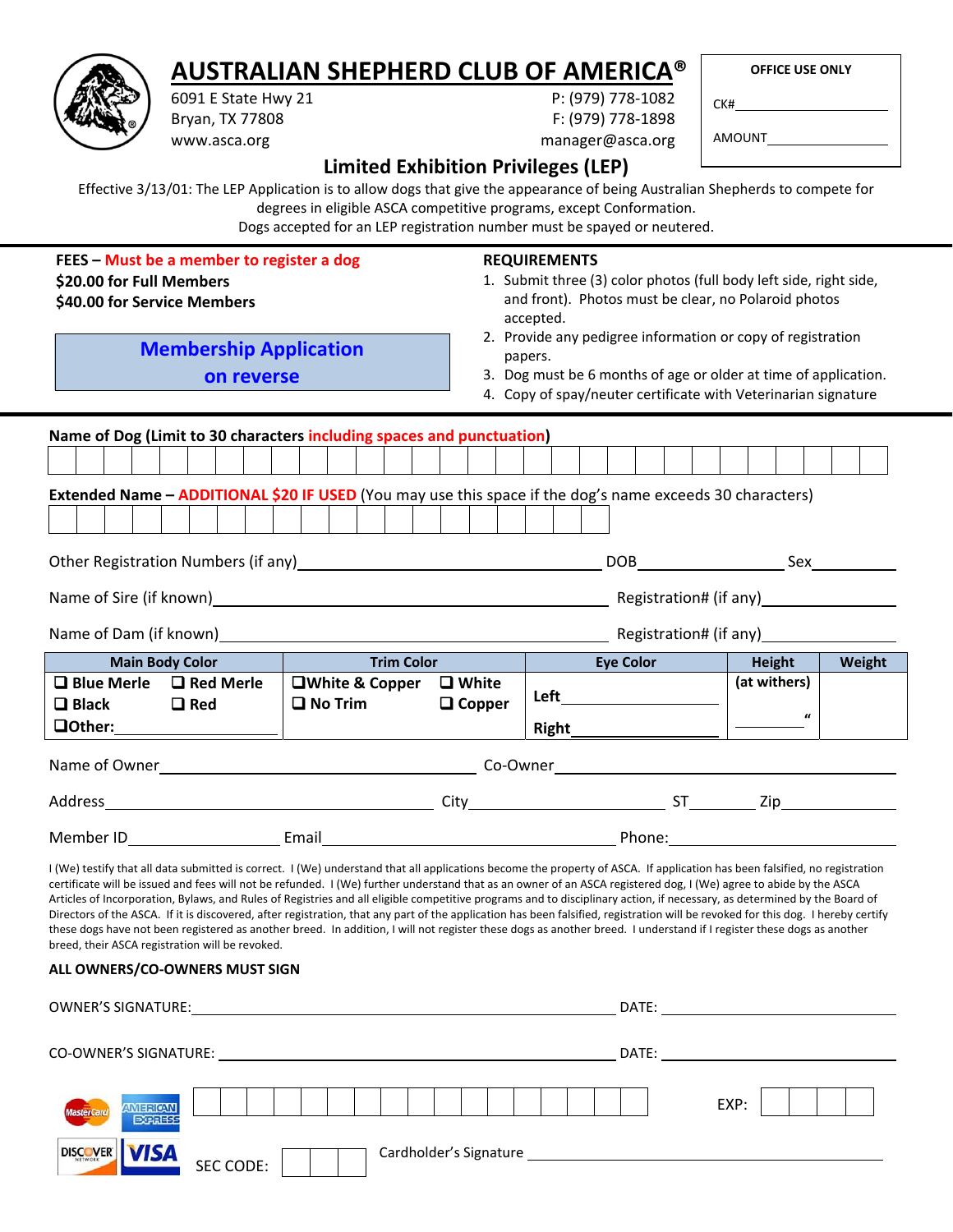## **AUSTRALIAN SHEPHERD CLUB OF AMERICA®**

|  | <b>OFFICE USE ONLY</b> |  |
|--|------------------------|--|
|  |                        |  |

| P: (979) 778-1082<br>6091 E State Hwy 21<br>F: (979) 778-1898<br>Bryan, TX 77808 |  |  |                                                                                                                                                                                                                                                                                                                                                                                                                                                                                                                                                                                                                                                                                                                                                                                                                                                                                                                                                                              |  |  |            |  |  |                  |                   |      |                               |                                                                                                                                                                                                                                                                                               |                      |       |  |                                                      |  |  |                                            |  |               |              |                    |  |                                      |
|----------------------------------------------------------------------------------|--|--|------------------------------------------------------------------------------------------------------------------------------------------------------------------------------------------------------------------------------------------------------------------------------------------------------------------------------------------------------------------------------------------------------------------------------------------------------------------------------------------------------------------------------------------------------------------------------------------------------------------------------------------------------------------------------------------------------------------------------------------------------------------------------------------------------------------------------------------------------------------------------------------------------------------------------------------------------------------------------|--|--|------------|--|--|------------------|-------------------|------|-------------------------------|-----------------------------------------------------------------------------------------------------------------------------------------------------------------------------------------------------------------------------------------------------------------------------------------------|----------------------|-------|--|------------------------------------------------------|--|--|--------------------------------------------|--|---------------|--------------|--------------------|--|--------------------------------------|
| www.asca.org                                                                     |  |  |                                                                                                                                                                                                                                                                                                                                                                                                                                                                                                                                                                                                                                                                                                                                                                                                                                                                                                                                                                              |  |  |            |  |  | manager@asca.org |                   |      |                               |                                                                                                                                                                                                                                                                                               |                      |       |  |                                                      |  |  |                                            |  |               |              |                    |  |                                      |
|                                                                                  |  |  |                                                                                                                                                                                                                                                                                                                                                                                                                                                                                                                                                                                                                                                                                                                                                                                                                                                                                                                                                                              |  |  |            |  |  |                  |                   |      |                               | <b>Limited Exhibition Privileges (LEP)</b>                                                                                                                                                                                                                                                    |                      |       |  |                                                      |  |  |                                            |  |               |              |                    |  |                                      |
|                                                                                  |  |  | Effective 3/13/01: The LEP Application is to allow dogs that give the appearance of being Australian Shepherds to compete for                                                                                                                                                                                                                                                                                                                                                                                                                                                                                                                                                                                                                                                                                                                                                                                                                                                |  |  |            |  |  |                  |                   |      |                               | degrees in eligible ASCA competitive programs, except Conformation.<br>Dogs accepted for an LEP registration number must be spayed or neutered.                                                                                                                                               |                      |       |  |                                                      |  |  |                                            |  |               |              |                    |  |                                      |
|                                                                                  |  |  | FEES - Must be a member to register a dog<br>\$20.00 for Full Members<br>\$40.00 for Service Members<br><b>Membership Application</b>                                                                                                                                                                                                                                                                                                                                                                                                                                                                                                                                                                                                                                                                                                                                                                                                                                        |  |  | on reverse |  |  |                  |                   |      |                               | <b>REQUIREMENTS</b><br>1. Submit three (3) color photos (full body left side, right side,<br>2. Provide any pedigree information or copy of registration<br>3. Dog must be 6 months of age or older at time of application.<br>4. Copy of spay/neuter certificate with Veterinarian signature | accepted.<br>papers. |       |  | and front). Photos must be clear, no Polaroid photos |  |  |                                            |  |               |              |                    |  |                                      |
|                                                                                  |  |  | Name of Dog (Limit to 30 characters including spaces and punctuation)                                                                                                                                                                                                                                                                                                                                                                                                                                                                                                                                                                                                                                                                                                                                                                                                                                                                                                        |  |  |            |  |  |                  |                   |      |                               |                                                                                                                                                                                                                                                                                               |                      |       |  |                                                      |  |  |                                            |  |               |              |                    |  |                                      |
|                                                                                  |  |  |                                                                                                                                                                                                                                                                                                                                                                                                                                                                                                                                                                                                                                                                                                                                                                                                                                                                                                                                                                              |  |  |            |  |  |                  |                   |      |                               |                                                                                                                                                                                                                                                                                               |                      |       |  |                                                      |  |  |                                            |  |               |              |                    |  |                                      |
|                                                                                  |  |  | Extended Name - ADDITIONAL \$20 IF USED (You may use this space if the dog's name exceeds 30 characters)                                                                                                                                                                                                                                                                                                                                                                                                                                                                                                                                                                                                                                                                                                                                                                                                                                                                     |  |  |            |  |  |                  |                   |      |                               |                                                                                                                                                                                                                                                                                               |                      |       |  |                                                      |  |  |                                            |  |               |              |                    |  |                                      |
|                                                                                  |  |  |                                                                                                                                                                                                                                                                                                                                                                                                                                                                                                                                                                                                                                                                                                                                                                                                                                                                                                                                                                              |  |  |            |  |  |                  |                   |      |                               |                                                                                                                                                                                                                                                                                               |                      |       |  |                                                      |  |  |                                            |  |               |              |                    |  |                                      |
|                                                                                  |  |  | Other Registration Numbers (if any)                                                                                                                                                                                                                                                                                                                                                                                                                                                                                                                                                                                                                                                                                                                                                                                                                                                                                                                                          |  |  |            |  |  |                  |                   |      |                               |                                                                                                                                                                                                                                                                                               |                      |       |  |                                                      |  |  |                                            |  |               |              |                    |  |                                      |
|                                                                                  |  |  |                                                                                                                                                                                                                                                                                                                                                                                                                                                                                                                                                                                                                                                                                                                                                                                                                                                                                                                                                                              |  |  |            |  |  |                  |                   |      |                               |                                                                                                                                                                                                                                                                                               |                      |       |  |                                                      |  |  |                                            |  |               |              |                    |  |                                      |
|                                                                                  |  |  |                                                                                                                                                                                                                                                                                                                                                                                                                                                                                                                                                                                                                                                                                                                                                                                                                                                                                                                                                                              |  |  |            |  |  |                  |                   |      |                               |                                                                                                                                                                                                                                                                                               |                      |       |  |                                                      |  |  |                                            |  |               |              |                    |  | Registration# (if any)______________ |
|                                                                                  |  |  | Name of Dam (if known)_                                                                                                                                                                                                                                                                                                                                                                                                                                                                                                                                                                                                                                                                                                                                                                                                                                                                                                                                                      |  |  |            |  |  |                  |                   |      |                               |                                                                                                                                                                                                                                                                                               |                      |       |  |                                                      |  |  | Registration# (if any) Management Contains |  |               |              |                    |  |                                      |
|                                                                                  |  |  | <b>Main Body Color</b>                                                                                                                                                                                                                                                                                                                                                                                                                                                                                                                                                                                                                                                                                                                                                                                                                                                                                                                                                       |  |  |            |  |  |                  | <b>Trim Color</b> |      |                               |                                                                                                                                                                                                                                                                                               |                      |       |  | <b>Eye Color</b>                                     |  |  |                                            |  | <b>Height</b> |              |                    |  | Weight                               |
| $\Box$ Black                                                                     |  |  | $\Box$ Blue Merle $\Box$ Red Merle<br>$\Box$ Red                                                                                                                                                                                                                                                                                                                                                                                                                                                                                                                                                                                                                                                                                                                                                                                                                                                                                                                             |  |  |            |  |  | $\Box$ No Trim   | □White & Copper   |      | $\Box$ White<br>$\Box$ Copper |                                                                                                                                                                                                                                                                                               | Left                 |       |  |                                                      |  |  |                                            |  |               | (at withers) |                    |  |                                      |
| <b>Oother:</b>                                                                   |  |  |                                                                                                                                                                                                                                                                                                                                                                                                                                                                                                                                                                                                                                                                                                                                                                                                                                                                                                                                                                              |  |  |            |  |  |                  |                   |      |                               |                                                                                                                                                                                                                                                                                               |                      | Right |  |                                                      |  |  |                                            |  |               |              | $\boldsymbol{\mu}$ |  |                                      |
| Name of Owner                                                                    |  |  |                                                                                                                                                                                                                                                                                                                                                                                                                                                                                                                                                                                                                                                                                                                                                                                                                                                                                                                                                                              |  |  |            |  |  |                  |                   |      |                               | Co-Owner                                                                                                                                                                                                                                                                                      |                      |       |  |                                                      |  |  |                                            |  |               |              |                    |  |                                      |
| Address                                                                          |  |  | <u> 1980 - Johann Barbara, martxa alemaniar a</u>                                                                                                                                                                                                                                                                                                                                                                                                                                                                                                                                                                                                                                                                                                                                                                                                                                                                                                                            |  |  |            |  |  |                  |                   | City |                               | <u> 1980 - Johann Barbara, martin a</u>                                                                                                                                                                                                                                                       |                      |       |  |                                                      |  |  |                                            |  |               |              |                    |  | $ST$ $Zip$ $Zip$ $Zip$               |
|                                                                                  |  |  |                                                                                                                                                                                                                                                                                                                                                                                                                                                                                                                                                                                                                                                                                                                                                                                                                                                                                                                                                                              |  |  |            |  |  |                  |                   |      |                               |                                                                                                                                                                                                                                                                                               |                      |       |  |                                                      |  |  |                                            |  |               |              |                    |  |                                      |
|                                                                                  |  |  | I (We) testify that all data submitted is correct. I (We) understand that all applications become the property of ASCA. If application has been falsified, no registration<br>certificate will be issued and fees will not be refunded. I (We) further understand that as an owner of an ASCA registered dog, I (We) agree to abide by the ASCA<br>Articles of Incorporation, Bylaws, and Rules of Registries and all eligible competitive programs and to disciplinary action, if necessary, as determined by the Board of<br>Directors of the ASCA. If it is discovered, after registration, that any part of the application has been falsified, registration will be revoked for this dog. I hereby certify<br>these dogs have not been registered as another breed. In addition, I will not register these dogs as another breed. I understand if I register these dogs as another<br>breed, their ASCA registration will be revoked.<br>ALL OWNERS/CO-OWNERS MUST SIGN |  |  |            |  |  |                  |                   |      |                               |                                                                                                                                                                                                                                                                                               |                      |       |  |                                                      |  |  |                                            |  |               |              |                    |  |                                      |
|                                                                                  |  |  |                                                                                                                                                                                                                                                                                                                                                                                                                                                                                                                                                                                                                                                                                                                                                                                                                                                                                                                                                                              |  |  |            |  |  |                  |                   |      |                               |                                                                                                                                                                                                                                                                                               |                      |       |  |                                                      |  |  |                                            |  |               |              |                    |  |                                      |
|                                                                                  |  |  |                                                                                                                                                                                                                                                                                                                                                                                                                                                                                                                                                                                                                                                                                                                                                                                                                                                                                                                                                                              |  |  |            |  |  |                  |                   |      |                               |                                                                                                                                                                                                                                                                                               |                      |       |  |                                                      |  |  |                                            |  |               |              |                    |  |                                      |